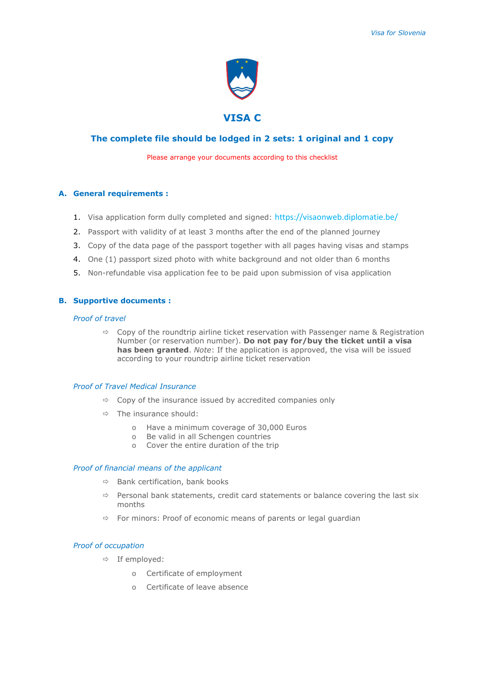

# **The complete file should be lodged in 2 sets: 1 original and 1 copy**

Please arrange your documents according to this checklist

## **A. General requirements :**

- 1. Visa application form dully completed and signed: https://visaonweb.diplomatie.be/
- 2. Passport with validity of at least 3 months after the end of the planned journey
- 3. Copy of the data page of the passport together with all pages having visas and stamps
- 4. One (1) passport sized photo with white background and not older than 6 months
- 5. Non-refundable visa application fee to be paid upon submission of visa application

## **B. Supportive documents :**

## *Proof of travel*

 $\Rightarrow$  Copy of the roundtrip airline ticket reservation with Passenger name & Registration Number (or reservation number). **Do not pay for/buy the ticket until a visa has been granted**. *Note*: If the application is approved, the visa will be issued according to your roundtrip airline ticket reservation

# *Proof of Travel Medical Insurance*

- $\Rightarrow$  Copy of the insurance issued by accredited companies only
- $\Rightarrow$  The insurance should:
	- o Have a minimum coverage of 30,000 Euros
	- o Be valid in all Schengen countries
	- o Cover the entire duration of the trip

## *Proof of financial means of the applicant*

- $\Rightarrow$  Bank certification, bank books
- $\Rightarrow$  Personal bank statements, credit card statements or balance covering the last six months
- $\Rightarrow$  For minors: Proof of economic means of parents or legal guardian

### *Proof of occupation*

- $\Rightarrow$  If employed:
	- o Certificate of employment
	- o Certificate of leave absence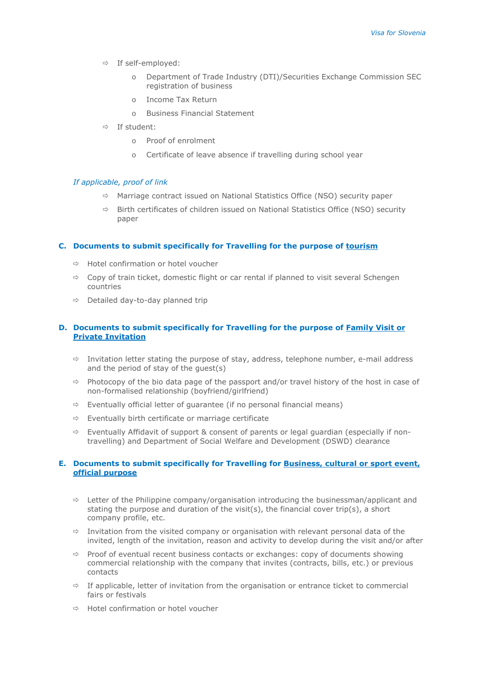- $\Rightarrow$  If self-employed:
	- o Department of Trade Industry (DTI)/Securities Exchange Commission SEC registration of business
	- o Income Tax Return
	- o Business Financial Statement
- $\Rightarrow$  If student:
	- o Proof of enrolment
	- o Certificate of leave absence if travelling during school year

#### *If applicable, proof of link*

- $\Rightarrow$  Marriage contract issued on National Statistics Office (NSO) security paper
- $\Rightarrow$  Birth certificates of children issued on National Statistics Office (NSO) security paper

## **C. Documents to submit specifically for Travelling for the purpose of tourism**

- $\Rightarrow$  Hotel confirmation or hotel voucher
- $\Rightarrow$  Copy of train ticket, domestic flight or car rental if planned to visit several Schengen countries
- $\Rightarrow$  Detailed day-to-day planned trip

## **D. Documents to submit specifically for Travelling for the purpose of Family Visit or Private Invitation**

- $\Rightarrow$  Invitation letter stating the purpose of stay, address, telephone number, e-mail address and the period of stay of the guest(s)
- $\Rightarrow$  Photocopy of the bio data page of the passport and/or travel history of the host in case of non-formalised relationship (boyfriend/girlfriend)
- $\Rightarrow$  Eventually official letter of guarantee (if no personal financial means)
- $\Rightarrow$  Eventually birth certificate or marriage certificate
- $\Rightarrow$  Eventually Affidavit of support & consent of parents or legal quardian (especially if nontravelling) and Department of Social Welfare and Development (DSWD) clearance

## **E. Documents to submit specifically for Travelling for Business, cultural or sport event, official purpose**

- $\Rightarrow$  Letter of the Philippine company/organisation introducing the businessman/applicant and stating the purpose and duration of the visit(s), the financial cover trip(s), a short company profile, etc.
- $\Rightarrow$  Invitation from the visited company or organisation with relevant personal data of the invited, length of the invitation, reason and activity to develop during the visit and/or after
- $\Rightarrow$  Proof of eventual recent business contacts or exchanges: copy of documents showing commercial relationship with the company that invites (contracts, bills, etc.) or previous contacts
- $\Rightarrow$  If applicable, letter of invitation from the organisation or entrance ticket to commercial fairs or festivals
- $\Rightarrow$  Hotel confirmation or hotel voucher